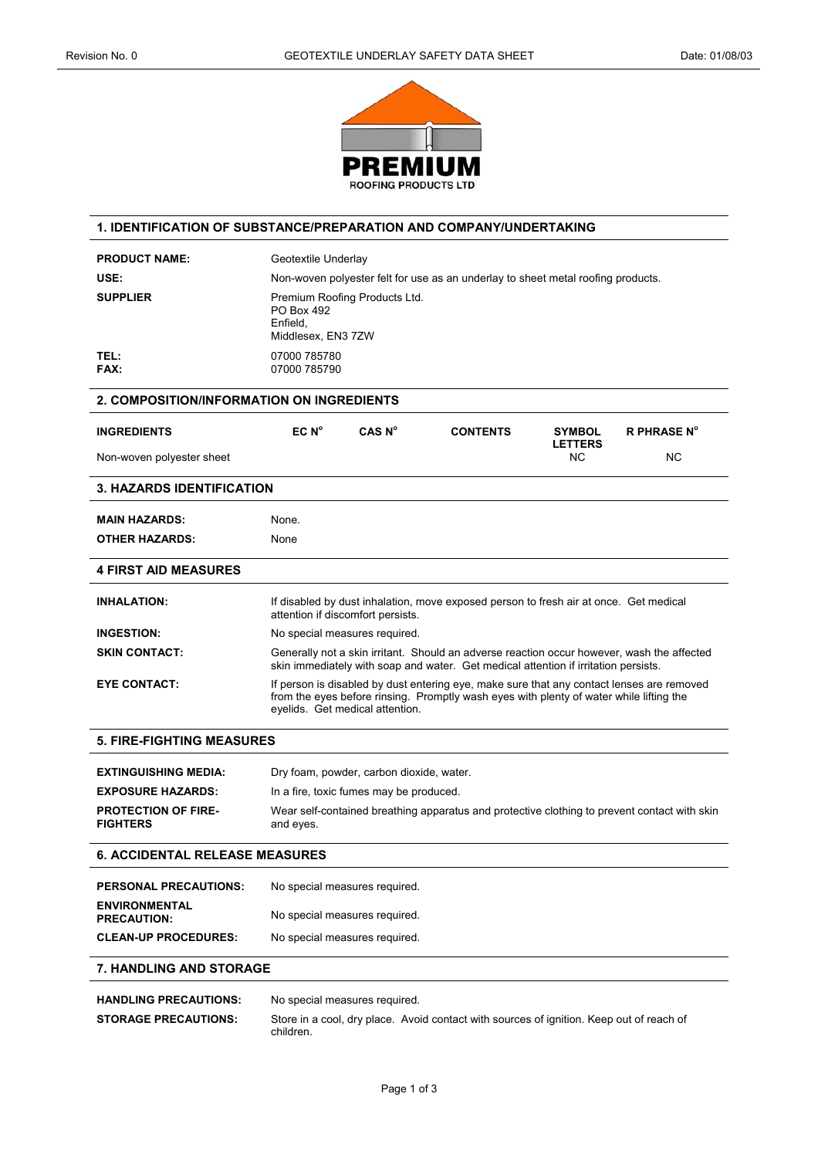

#### **1. IDENTIFICATION OF SUBSTANCE/PREPARATION AND COMPANY/UNDERTAKING**

| <b>PRODUCT NAME:</b>                      | Geotextile Underlay                                                                                                                                                                                                     |                    |                 |                                 |                    |
|-------------------------------------------|-------------------------------------------------------------------------------------------------------------------------------------------------------------------------------------------------------------------------|--------------------|-----------------|---------------------------------|--------------------|
| USE:                                      | Non-woven polyester felt for use as an underlay to sheet metal roofing products.                                                                                                                                        |                    |                 |                                 |                    |
| <b>SUPPLIER</b>                           | Premium Roofing Products Ltd.<br>PO Box 492<br>Enfield.<br>Middlesex, EN3 7ZW                                                                                                                                           |                    |                 |                                 |                    |
| TEL:<br>FAX:                              | 07000 785780<br>07000 785790                                                                                                                                                                                            |                    |                 |                                 |                    |
| 2. COMPOSITION/INFORMATION ON INGREDIENTS |                                                                                                                                                                                                                         |                    |                 |                                 |                    |
| <b>INGREDIENTS</b>                        | EC N <sup>o</sup>                                                                                                                                                                                                       | CAS N <sup>o</sup> | <b>CONTENTS</b> | <b>SYMBOL</b><br><b>LETTERS</b> | <b>R PHRASE N°</b> |
| Non-woven polyester sheet                 |                                                                                                                                                                                                                         |                    |                 | N <sub>C</sub>                  | N <sub>C</sub>     |
| <b>3. HAZARDS IDENTIFICATION</b>          |                                                                                                                                                                                                                         |                    |                 |                                 |                    |
| <b>MAIN HAZARDS:</b>                      | None.                                                                                                                                                                                                                   |                    |                 |                                 |                    |
| <b>OTHER HAZARDS:</b>                     | None                                                                                                                                                                                                                    |                    |                 |                                 |                    |
| <b>4 FIRST AID MEASURES</b>               |                                                                                                                                                                                                                         |                    |                 |                                 |                    |
| <b>INHALATION:</b>                        | If disabled by dust inhalation, move exposed person to fresh air at once. Get medical<br>attention if discomfort persists.                                                                                              |                    |                 |                                 |                    |
| <b>INGESTION:</b>                         | No special measures required.                                                                                                                                                                                           |                    |                 |                                 |                    |
| <b>SKIN CONTACT:</b>                      | Generally not a skin irritant. Should an adverse reaction occur however, wash the affected<br>skin immediately with soap and water. Get medical attention if irritation persists.                                       |                    |                 |                                 |                    |
| <b>EYE CONTACT:</b>                       | If person is disabled by dust entering eye, make sure that any contact lenses are removed<br>from the eyes before rinsing. Promptly wash eyes with plenty of water while lifting the<br>eyelids. Get medical attention. |                    |                 |                                 |                    |

#### **5. FIRE-FIGHTING MEASURES**

| <b>EXTINGUISHING MEDIA:</b>                   | Dry foam, powder, carbon dioxide, water.                                                                  |
|-----------------------------------------------|-----------------------------------------------------------------------------------------------------------|
| <b>EXPOSURE HAZARDS:</b>                      | In a fire, toxic fumes may be produced.                                                                   |
| <b>PROTECTION OF FIRE-</b><br><b>FIGHTERS</b> | Wear self-contained breathing apparatus and protective clothing to prevent contact with skin<br>and eyes. |

### **6. ACCIDENTAL RELEASE MEASURES**

| <b>PERSONAL PRECAUTIONS:</b>               | No special measures required. |
|--------------------------------------------|-------------------------------|
| <b>ENVIRONMENTAL</b><br><b>PRECAUTION:</b> | No special measures required. |
| <b>CLEAN-UP PROCEDURES:</b>                | No special measures required. |

#### **7. HANDLING AND STORAGE**

| <b>HANDLING PRECAUTIONS:</b> | No special measures required.                                                                         |  |  |
|------------------------------|-------------------------------------------------------------------------------------------------------|--|--|
| <b>STORAGE PRECAUTIONS:</b>  | Store in a cool, dry place. Avoid contact with sources of ignition. Keep out of reach of<br>children. |  |  |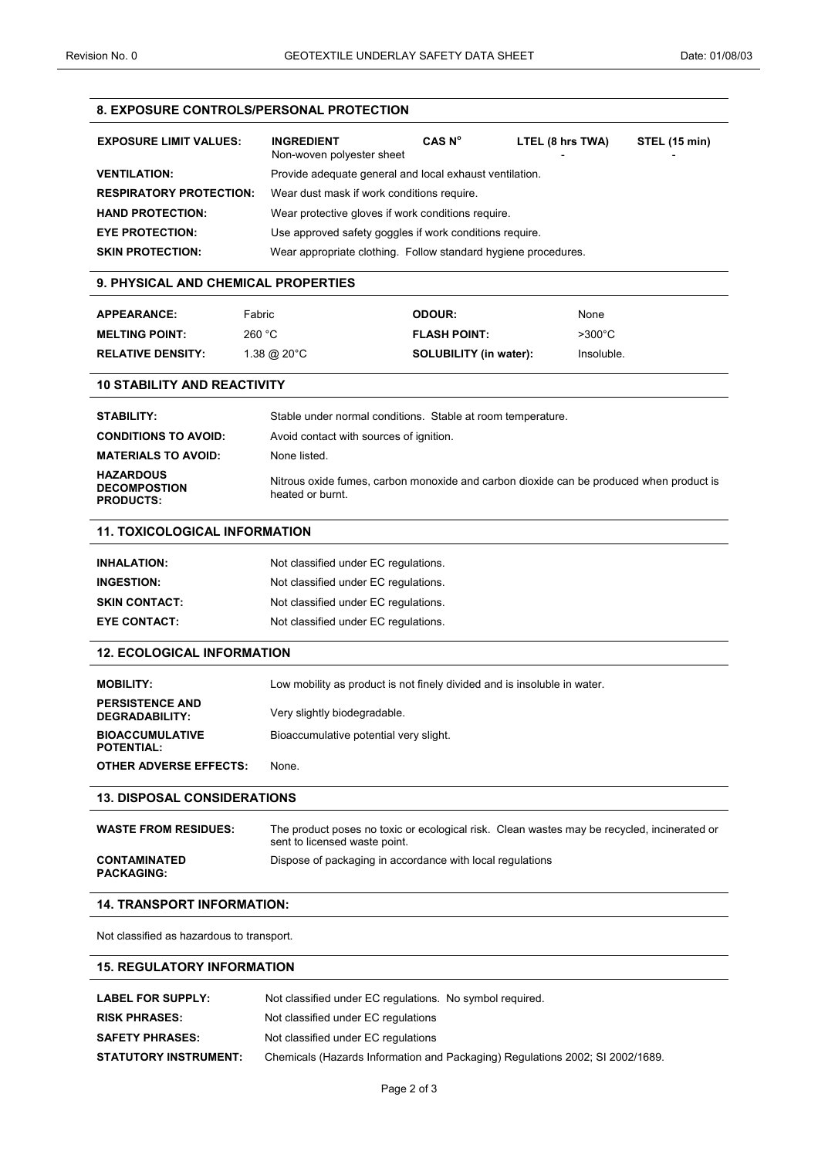# **8. EXPOSURE CONTROLS/PERSONAL PROTECTION EXPOSURE LIMIT VALUES: INGREDIENT CAS N<sup>o</sup> LTEL (8 hrs TWA) STEL (15 min)**  Non-woven polyester sheet **VENTILATION:** Provide adequate general and local exhaust ventilation. **RESPIRATORY PROTECTION:** Wear dust mask if work conditions require. **HAND PROTECTION:** Wear protective gloves if work conditions require. **EYE PROTECTION:** Use approved safety goggles if work conditions require. **SKIN PROTECTION:** Wear appropriate clothing. Follow standard hygiene procedures. **9. PHYSICAL AND CHEMICAL PROPERTIES APPEARANCE:** Fabric **ODOUR:** None **MELTING POINT:** 260 °C **FLASH POINT:** >300°C **RELATIVE DENSITY:** 1.38 @ 20°C **SOLUBILITY (in water):** Insoluble. **10 STABILITY AND REACTIVITY STABILITY:** Stable under normal conditions. Stable at room temperature. **CONDITIONS TO AVOID:** Avoid contact with sources of ignition. **MATERIALS TO AVOID:** None listed. **HAZARDOUS DECOMPOSTION PRODUCTS:**  Nitrous oxide fumes, carbon monoxide and carbon dioxide can be produced when product is heated or burnt. **11. TOXICOLOGICAL INFORMATION INHALATION:** Not classified under EC regulations. **INGESTION:** Not classified under EC regulations. **SKIN CONTACT:** Not classified under EC regulations. **EYE CONTACT:** Not classified under EC regulations. **12. ECOLOGICAL INFORMATION MOBILITY:** Low mobility as product is not finely divided and is insoluble in water. **PERSISTENCE AND DEGRADABILITY:** Very slightly biodegradable. **BIOACCUMULATIVE POTENTIAL:**  Bioaccumulative potential very slight. **OTHER ADVERSE EFFECTS:** None. **13. DISPOSAL CONSIDERATIONS WASTE FROM RESIDUES:** The product poses no toxic or ecological risk. Clean wastes may be recycled, incinerated or sent to licensed waste point. **CONTAMINATED PACKAGING:**  Dispose of packaging in accordance with local regulations **14. TRANSPORT INFORMATION:**  Not classified as hazardous to transport. **15. REGULATORY INFORMATION**  LABEL FOR SUPPLY: Not classified under EC regulations. No symbol required. **RISK PHRASES:** Not classified under EC regulations

**SAFETY PHRASES:** Not classified under EC regulations

**STATUTORY INSTRUMENT:** Chemicals (Hazards Information and Packaging) Regulations 2002; SI 2002/1689.